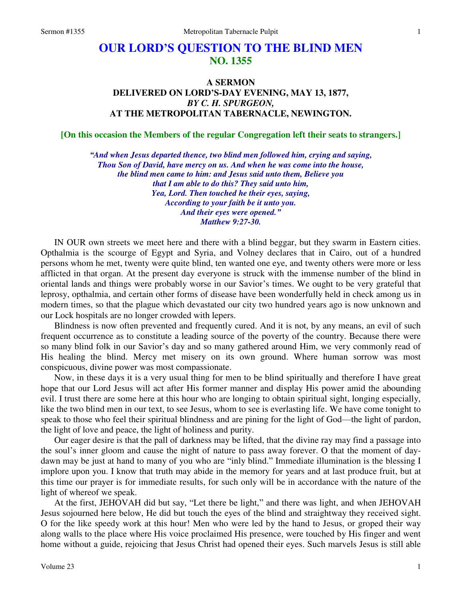## **OUR LORD'S QUESTION TO THE BLIND MEN NO. 1355**

## **A SERMON DELIVERED ON LORD'S-DAY EVENING, MAY 13, 1877,**  *BY C. H. SPURGEON,* **AT THE METROPOLITAN TABERNACLE, NEWINGTON.**

**[On this occasion the Members of the regular Congregation left their seats to strangers.]** 

*"And when Jesus departed thence, two blind men followed him, crying and saying, Thou Son of David, have mercy on us. And when he was come into the house, the blind men came to him: and Jesus said unto them, Believe you that I am able to do this? They said unto him, Yea, Lord. Then touched he their eyes, saying, According to your faith be it unto you. And their eyes were opened." Matthew 9:27-30.* 

IN OUR own streets we meet here and there with a blind beggar, but they swarm in Eastern cities. Opthalmia is the scourge of Egypt and Syria, and Volney declares that in Cairo, out of a hundred persons whom he met, twenty were quite blind, ten wanted one eye, and twenty others were more or less afflicted in that organ. At the present day everyone is struck with the immense number of the blind in oriental lands and things were probably worse in our Savior's times. We ought to be very grateful that leprosy, opthalmia, and certain other forms of disease have been wonderfully held in check among us in modern times, so that the plague which devastated our city two hundred years ago is now unknown and our Lock hospitals are no longer crowded with lepers.

Blindness is now often prevented and frequently cured. And it is not, by any means, an evil of such frequent occurrence as to constitute a leading source of the poverty of the country. Because there were so many blind folk in our Savior's day and so many gathered around Him, we very commonly read of His healing the blind. Mercy met misery on its own ground. Where human sorrow was most conspicuous, divine power was most compassionate.

Now, in these days it is a very usual thing for men to be blind spiritually and therefore I have great hope that our Lord Jesus will act after His former manner and display His power amid the abounding evil. I trust there are some here at this hour who are longing to obtain spiritual sight, longing especially, like the two blind men in our text, to see Jesus, whom to see is everlasting life. We have come tonight to speak to those who feel their spiritual blindness and are pining for the light of God—the light of pardon, the light of love and peace, the light of holiness and purity.

Our eager desire is that the pall of darkness may be lifted, that the divine ray may find a passage into the soul's inner gloom and cause the night of nature to pass away forever. O that the moment of daydawn may be just at hand to many of you who are "inly blind." Immediate illumination is the blessing I implore upon you. I know that truth may abide in the memory for years and at last produce fruit, but at this time our prayer is for immediate results, for such only will be in accordance with the nature of the light of whereof we speak.

At the first, JEHOVAH did but say, "Let there be light," and there was light, and when JEHOVAH Jesus sojourned here below, He did but touch the eyes of the blind and straightway they received sight. O for the like speedy work at this hour! Men who were led by the hand to Jesus, or groped their way along walls to the place where His voice proclaimed His presence, were touched by His finger and went home without a guide, rejoicing that Jesus Christ had opened their eyes. Such marvels Jesus is still able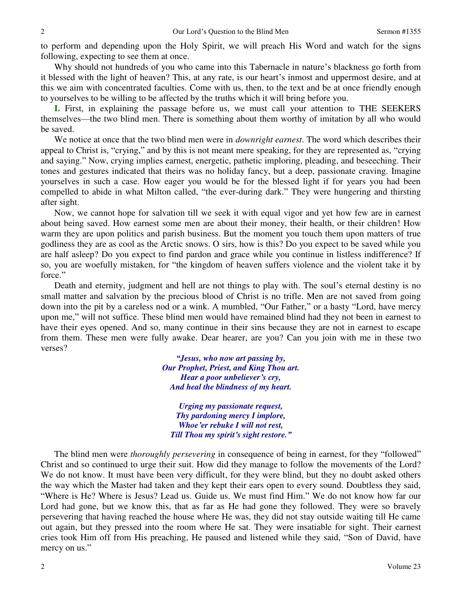to perform and depending upon the Holy Spirit, we will preach His Word and watch for the signs following, expecting to see them at once.

Why should not hundreds of you who came into this Tabernacle in nature's blackness go forth from it blessed with the light of heaven? This, at any rate, is our heart's inmost and uppermost desire, and at this we aim with concentrated faculties. Come with us, then, to the text and be at once friendly enough to yourselves to be willing to be affected by the truths which it will bring before you.

**I.** First, in explaining the passage before us, we must call your attention to THE SEEKERS themselves—the two blind men. There is something about them worthy of imitation by all who would be saved.

We notice at once that the two blind men were in *downright earnest*. The word which describes their appeal to Christ is, "crying," and by this is not meant mere speaking, for they are represented as, "crying and saying." Now, crying implies earnest, energetic, pathetic imploring, pleading, and beseeching. Their tones and gestures indicated that theirs was no holiday fancy, but a deep, passionate craving. Imagine yourselves in such a case. How eager you would be for the blessed light if for years you had been compelled to abide in what Milton called, "the ever-during dark." They were hungering and thirsting after sight.

Now, we cannot hope for salvation till we seek it with equal vigor and yet how few are in earnest about being saved. How earnest some men are about their money, their health, or their children! How warm they are upon politics and parish business. But the moment you touch them upon matters of true godliness they are as cool as the Arctic snows. O sirs, how is this? Do you expect to be saved while you are half asleep? Do you expect to find pardon and grace while you continue in listless indifference? If so, you are woefully mistaken, for "the kingdom of heaven suffers violence and the violent take it by force."

Death and eternity, judgment and hell are not things to play with. The soul's eternal destiny is no small matter and salvation by the precious blood of Christ is no trifle. Men are not saved from going down into the pit by a careless nod or a wink. A mumbled, "Our Father," or a hasty "Lord, have mercy upon me," will not suffice. These blind men would have remained blind had they not been in earnest to have their eyes opened. And so, many continue in their sins because they are not in earnest to escape from them. These men were fully awake. Dear hearer, are you? Can you join with me in these two verses?

> *"Jesus, who now art passing by, Our Prophet, Priest, and King Thou art. Hear a poor unbeliever's cry, And heal the blindness of my heart.*

*Urging my passionate request, Thy pardoning mercy I implore, Whoe'er rebuke I will not rest, Till Thou my spirit's sight restore."*

The blind men were *thoroughly persevering* in consequence of being in earnest, for they "followed" Christ and so continued to urge their suit. How did they manage to follow the movements of the Lord? We do not know. It must have been very difficult, for they were blind, but they no doubt asked others the way which the Master had taken and they kept their ears open to every sound. Doubtless they said, "Where is He? Where is Jesus? Lead us. Guide us. We must find Him." We do not know how far our Lord had gone, but we know this, that as far as He had gone they followed. They were so bravely persevering that having reached the house where He was, they did not stay outside waiting till He came out again, but they pressed into the room where He sat. They were insatiable for sight. Their earnest cries took Him off from His preaching, He paused and listened while they said, "Son of David, have mercy on us."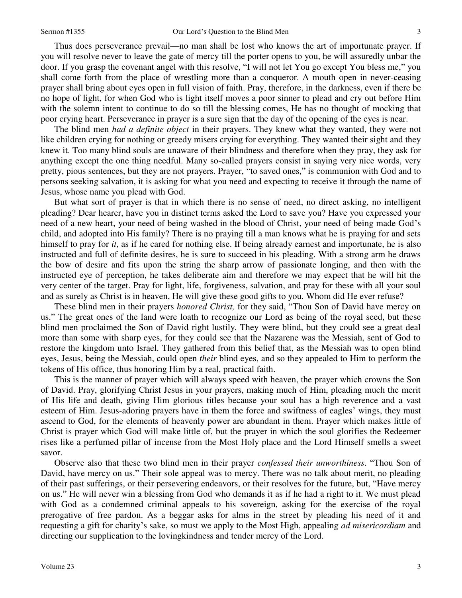Thus does perseverance prevail—no man shall be lost who knows the art of importunate prayer. If you will resolve never to leave the gate of mercy till the porter opens to you, he will assuredly unbar the door. If you grasp the covenant angel with this resolve, "I will not let You go except You bless me," you shall come forth from the place of wrestling more than a conqueror. A mouth open in never-ceasing prayer shall bring about eyes open in full vision of faith. Pray, therefore, in the darkness, even if there be no hope of light, for when God who is light itself moves a poor sinner to plead and cry out before Him with the solemn intent to continue to do so till the blessing comes, He has no thought of mocking that poor crying heart. Perseverance in prayer is a sure sign that the day of the opening of the eyes is near.

The blind men *had a definite object* in their prayers. They knew what they wanted, they were not like children crying for nothing or greedy misers crying for everything. They wanted their sight and they knew it. Too many blind souls are unaware of their blindness and therefore when they pray, they ask for anything except the one thing needful. Many so-called prayers consist in saying very nice words, very pretty, pious sentences, but they are not prayers. Prayer, "to saved ones," is communion with God and to persons seeking salvation, it is asking for what you need and expecting to receive it through the name of Jesus, whose name you plead with God.

3 if e u g e n u t y r y o f u t r s s o s e e ul u n e ul o d e u n t t t f r t f g y d ul d 3 3 s e e ul u n e ul o d e u t t t f r t f g y d ul d 3 3 s e e ul u n e ul o d e u t t f r t f g y d ul d 3 3 s e e t l e v t But what sort of prayer is that in which there is no sense of need, no direct asking, no intelligent pleading? Dear hearer, have you in distinct terms asked the Lord to save you? Have you expressed your need of a new heart, your need of being washed in the blood of Christ, your need of being made God's child, and adopted into His family? There is no praying till a man knows what he is praying for and sets himself to pray for *it*, as if he cared for nothing else. If being already earnest and importunate, he is also instructed and full of definite desires, he is sure to succeed in his pleading. With a strong arm he draws the bow of desire and fits upon the string the sharp arrow of passionate longing, and then with the instructed eye of perception, he takes deliberate aim and therefore we may expect that he will hit the very center of the target. Pray for light, life, forgiveness, salvation, and pray for these with all your soul and as surely as Christ is in heaven, He will give these good gifts to you. Whom did He ever refuse?

These blind men in their prayers *honored Christ,* for they said, "Thou Son of David have mercy on us." The great ones of the land were loath to recognize our Lord as being of the royal seed, but these blind men proclaimed the Son of David right lustily. They were blind, but they could see a great deal more than some with sharp eyes, for they could see that the Nazarene was the Messiah, sent of God to restore the kingdom unto Israel. They gathered from this belief that, as the Messiah was to open blind eyes, Jesus, being the Messiah, could open *their* blind eyes, and so they appealed to Him to perform the tokens of His office, thus honoring Him by a real, practical faith.

This is the manner of prayer which will always speed with heaven, the prayer which crowns the Son of David. Pray, glorifying Christ Jesus in your prayers, making much of Him, pleading much the merit of His life and death, giving Him glorious titles because your soul has a high reverence and a vast esteem of Him. Jesus-adoring prayers have in them the force and swiftness of eagles' wings, they must ascend to God, for the elements of heavenly power are abundant in them. Prayer which makes little of Christ is prayer which God will make little of, but the prayer in which the soul glorifies the Redeemer rises like a perfumed pillar of incense from the Most Holy place and the Lord Himself smells a sweet savor.

Observe also that these two blind men in their prayer *confessed their unworthiness*. "Thou Son of David, have mercy on us." Their sole appeal was to mercy. There was no talk about merit, no pleading of their past sufferings, or their persevering endeavors, or their resolves for the future, but, "Have mercy on us." He will never win a blessing from God who demands it as if he had a right to it. We must plead with God as a condemned criminal appeals to his sovereign, asking for the exercise of the royal prerogative of free pardon. As a beggar asks for alms in the street by pleading his need of it and requesting a gift for charity's sake, so must we apply to the Most High, appealing *ad misericordiam* and directing our supplication to the lovingkindness and tender mercy of the Lord.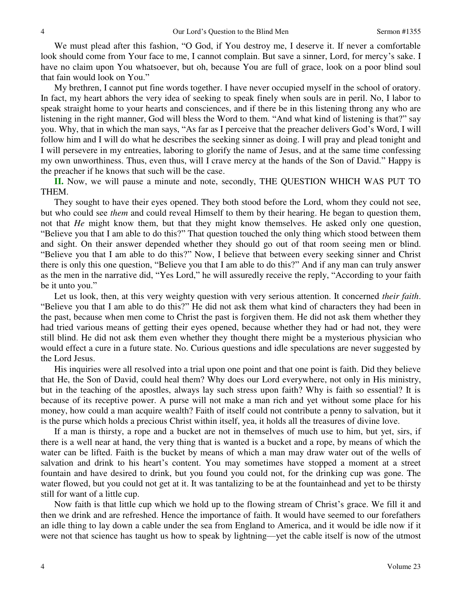We must plead after this fashion, "O God, if You destroy me, I deserve it. If never a comfortable look should come from Your face to me, I cannot complain. But save a sinner, Lord, for mercy's sake. I have no claim upon You whatsoever, but oh, because You are full of grace, look on a poor blind soul that fain would look on You."

My brethren, I cannot put fine words together. I have never occupied myself in the school of oratory. In fact, my heart abhors the very idea of seeking to speak finely when souls are in peril. No, I labor to speak straight home to your hearts and consciences, and if there be in this listening throng any who are listening in the right manner, God will bless the Word to them. "And what kind of listening is that?" say you. Why, that in which the man says, "As far as I perceive that the preacher delivers God's Word, I will follow him and I will do what he describes the seeking sinner as doing. I will pray and plead tonight and I will persevere in my entreaties, laboring to glorify the name of Jesus, and at the same time confessing my own unworthiness. Thus, even thus, will I crave mercy at the hands of the Son of David." Happy is the preacher if he knows that such will be the case.

**II.** Now, we will pause a minute and note, secondly, THE QUESTION WHICH WAS PUT TO THEM.

They sought to have their eyes opened. They both stood before the Lord, whom they could not see, but who could see *them* and could reveal Himself to them by their hearing. He began to question them, not that *He* might know them, but that they might know themselves. He asked only one question, "Believe you that I am able to do this?" That question touched the only thing which stood between them and sight. On their answer depended whether they should go out of that room seeing men or blind. "Believe you that I am able to do this?" Now, I believe that between every seeking sinner and Christ there is only this one question, "Believe you that I am able to do this?" And if any man can truly answer as the men in the narrative did, "Yes Lord," he will assuredly receive the reply, "According to your faith be it unto you."

Let us look, then, at this very weighty question with very serious attention. It concerned *their faith*. "Believe you that I am able to do this?" He did not ask them what kind of characters they had been in the past, because when men come to Christ the past is forgiven them. He did not ask them whether they had tried various means of getting their eyes opened, because whether they had or had not, they were still blind. He did not ask them even whether they thought there might be a mysterious physician who would effect a cure in a future state. No. Curious questions and idle speculations are never suggested by the Lord Jesus.

His inquiries were all resolved into a trial upon one point and that one point is faith. Did they believe that He, the Son of David, could heal them? Why does our Lord everywhere, not only in His ministry, but in the teaching of the apostles, always lay such stress upon faith? Why is faith so essential? It is because of its receptive power. A purse will not make a man rich and yet without some place for his money, how could a man acquire wealth? Faith of itself could not contribute a penny to salvation, but it is the purse which holds a precious Christ within itself, yea, it holds all the treasures of divine love.

If a man is thirsty, a rope and a bucket are not in themselves of much use to him, but yet, sirs, if there is a well near at hand, the very thing that is wanted is a bucket and a rope, by means of which the water can be lifted. Faith is the bucket by means of which a man may draw water out of the wells of salvation and drink to his heart's content. You may sometimes have stopped a moment at a street fountain and have desired to drink, but you found you could not, for the drinking cup was gone. The water flowed, but you could not get at it. It was tantalizing to be at the fountainhead and yet to be thirsty still for want of a little cup.

Now faith is that little cup which we hold up to the flowing stream of Christ's grace. We fill it and then we drink and are refreshed. Hence the importance of faith. It would have seemed to our forefathers an idle thing to lay down a cable under the sea from England to America, and it would be idle now if it were not that science has taught us how to speak by lightning—yet the cable itself is now of the utmost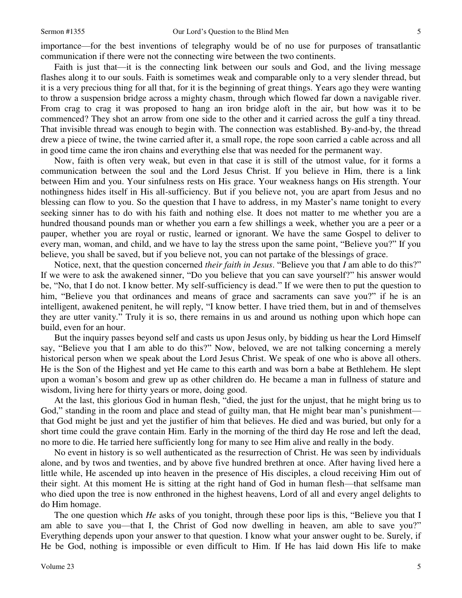importance—for the best inventions of telegraphy would be of no use for purposes of transatlantic communication if there were not the connecting wire between the two continents.

5 c et g c e l d ll a k troya a ou "d on s n f y "t d o – a l, s a f n o – J" f e 5 Faith is just that—it is the connecting link between our souls and God, and the living message flashes along it to our souls. Faith is sometimes weak and comparable only to a very slender thread, but it is a very precious thing for all that, for it is the beginning of great things. Years ago they were wanting to throw a suspension bridge across a mighty chasm, through which flowed far down a navigable river. From crag to crag it was proposed to hang an iron bridge aloft in the air, but how was it to be commenced? They shot an arrow from one side to the other and it carried across the gulf a tiny thread. That invisible thread was enough to begin with. The connection was established. By-and-by, the thread drew a piece of twine, the twine carried after it, a small rope, the rope soon carried a cable across and all in good time came the iron chains and everything else that was needed for the permanent way.

Now, faith is often very weak, but even in that case it is still of the utmost value, for it forms a communication between the soul and the Lord Jesus Christ. If you believe in Him, there is a link between Him and you. Your sinfulness rests on His grace. Your weakness hangs on His strength. Your nothingness hides itself in His all-sufficiency. But if you believe not, you are apart from Jesus and no blessing can flow to you. So the question that I have to address, in my Master's name tonight to every seeking sinner has to do with his faith and nothing else. It does not matter to me whether you are a hundred thousand pounds man or whether you earn a few shillings a week, whether you are a peer or a pauper, whether you are royal or rustic, learned or ignorant. We have the same Gospel to deliver to every man, woman, and child, and we have to lay the stress upon the same point, "Believe you?" If you believe, you shall be saved, but if you believe not, you can not partake of the blessings of grace.

Notice, next, that the question concerned *their faith in Jesus*. "Believe you that *I* am able to do this?" If we were to ask the awakened sinner, "Do you believe that you can save yourself?" his answer would be, "No, that I do not. I know better. My self-sufficiency is dead." If we were then to put the question to him, "Believe you that ordinances and means of grace and sacraments can save you?" if he is an intelligent, awakened penitent, he will reply, "I know better. I have tried them, but in and of themselves they are utter vanity." Truly it is so, there remains in us and around us nothing upon which hope can build, even for an hour.

But the inquiry passes beyond self and casts us upon Jesus only, by bidding us hear the Lord Himself say, "Believe you that I am able to do this?" Now, beloved, we are not talking concerning a merely historical person when we speak about the Lord Jesus Christ. We speak of one who is above all others. He is the Son of the Highest and yet He came to this earth and was born a babe at Bethlehem. He slept upon a woman's bosom and grew up as other children do. He became a man in fullness of stature and wisdom, living here for thirty years or more, doing good.

At the last, this glorious God in human flesh, "died, the just for the unjust, that he might bring us to God," standing in the room and place and stead of guilty man, that He might bear man's punishment that God might be just and yet the justifier of him that believes. He died and was buried, but only for a short time could the grave contain Him. Early in the morning of the third day He rose and left the dead, no more to die. He tarried here sufficiently long for many to see Him alive and really in the body.

No event in history is so well authenticated as the resurrection of Christ. He was seen by individuals alone, and by twos and twenties, and by above five hundred brethren at once. After having lived here a little while, He ascended up into heaven in the presence of His disciples, a cloud receiving Him out of their sight. At this moment He is sitting at the right hand of God in human flesh—that selfsame man who died upon the tree is now enthroned in the highest heavens, Lord of all and every angel delights to do Him homage.

The one question which *He* asks of you tonight, through these poor lips is this, "Believe you that I am able to save you—that I, the Christ of God now dwelling in heaven, am able to save you?" Everything depends upon your answer to that question. I know what your answer ought to be. Surely, if He be God, nothing is impossible or even difficult to Him. If He has laid down His life to make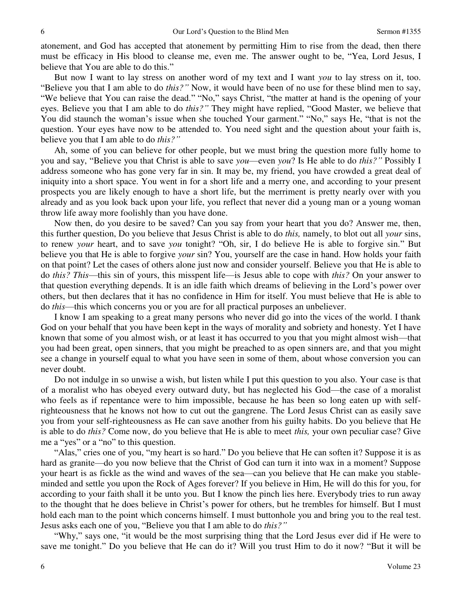atonement, and God has accepted that atonement by permitting Him to rise from the dead, then there must be efficacy in His blood to cleanse me, even me. The answer ought to be, "Yea, Lord Jesus, I believe that You are able to do this."

But now I want to lay stress on another word of my text and I want *you* to lay stress on it, too. "Believe you that I am able to do *this?"* Now, it would have been of no use for these blind men to say, "We believe that You can raise the dead." "No," says Christ, "the matter at hand is the opening of your eyes. Believe you that I am able to do *this?"* They might have replied, "Good Master, we believe that You did staunch the woman's issue when she touched Your garment." "No," says He, "that is not the question. Your eyes have now to be attended to. You need sight and the question about your faith is, believe you that I am able to do *this?"*

Ah, some of you can believe for other people, but we must bring the question more fully home to you and say, "Believe you that Christ is able to save *you*—even *you*? Is He able to do *this?"* Possibly I address someone who has gone very far in sin. It may be, my friend, you have crowded a great deal of iniquity into a short space. You went in for a short life and a merry one, and according to your present prospects you are likely enough to have a short life, but the merriment is pretty nearly over with you already and as you look back upon your life, you reflect that never did a young man or a young woman throw life away more foolishly than you have done.

Now then, do you desire to be saved? Can you say from your heart that you do? Answer me, then, this further question, Do you believe that Jesus Christ is able to do *this,* namely, to blot out all *your* sins, to renew *your* heart, and to save *you* tonight? "Oh, sir, I do believe He is able to forgive sin." But believe you that He is able to forgive *your* sin? You, yourself are the case in hand. How holds your faith on that point? Let the cases of others alone just now and consider yourself. Believe you that He is able to do *this? This*—this sin of yours, this misspent life—is Jesus able to cope with *this?* On your answer to that question everything depends. It is an idle faith which dreams of believing in the Lord's power over others, but then declares that it has no confidence in Him for itself. You must believe that He is able to do *this*—this which concerns you or you are for all practical purposes an unbeliever.

I know I am speaking to a great many persons who never did go into the vices of the world. I thank God on your behalf that you have been kept in the ways of morality and sobriety and honesty. Yet I have known that some of you almost wish, or at least it has occurred to you that you might almost wish—that you had been great, open sinners, that you might be preached to as open sinners are, and that you might see a change in yourself equal to what you have seen in some of them, about whose conversion you can never doubt.

Do not indulge in so unwise a wish, but listen while I put this question to you also. Your case is that of a moralist who has obeyed every outward duty, but has neglected his God—the case of a moralist who feels as if repentance were to him impossible, because he has been so long eaten up with selfrighteousness that he knows not how to cut out the gangrene. The Lord Jesus Christ can as easily save you from your self-righteousness as He can save another from his guilty habits. Do you believe that He is able to do *this?* Come now, do you believe that He is able to meet *this,* your own peculiar case? Give me a "yes" or a "no" to this question.

"Alas," cries one of you, "my heart is so hard." Do you believe that He can soften it? Suppose it is as hard as granite—do you now believe that the Christ of God can turn it into wax in a moment? Suppose your heart is as fickle as the wind and waves of the sea—can you believe that He can make you stableminded and settle you upon the Rock of Ages forever? If you believe in Him, He will do this for you, for according to your faith shall it be unto you. But I know the pinch lies here. Everybody tries to run away to the thought that he does believe in Christ's power for others, but he trembles for himself. But I must hold each man to the point which concerns himself. I must buttonhole you and bring you to the real test. Jesus asks each one of you, "Believe you that I am able to do *this?"*

"Why," says one, "it would be the most surprising thing that the Lord Jesus ever did if He were to save me tonight." Do you believe that He can do it? Will you trust Him to do it now? "But it will be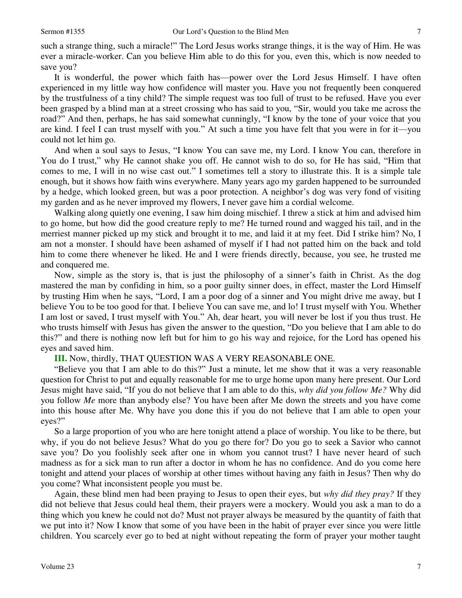such a strange thing, such a miracle!" The Lord Jesus works strange things, it is the way of Him. He was ever a miracle-worker. Can you believe Him able to do this for you, even this, which is now needed to save you?

7 so nd reuu nuted general de gef I revos edder und en general de gef I revos edder und hed yauted 7 It is wonderful, the power which faith has—power over the Lord Jesus Himself. I have often experienced in my little way how confidence will master you. Have you not frequently been conquered by the trustfulness of a tiny child? The simple request was too full of trust to be refused. Have you ever been grasped by a blind man at a street crossing who has said to you, "Sir, would you take me across the road?" And then, perhaps, he has said somewhat cunningly, "I know by the tone of your voice that you are kind. I feel I can trust myself with you." At such a time you have felt that you were in for it—you could not let him go.

And when a soul says to Jesus, "I know You can save me, my Lord. I know You can, therefore in You do I trust," why He cannot shake you off. He cannot wish to do so, for He has said, "Him that comes to me, I will in no wise cast out." I sometimes tell a story to illustrate this. It is a simple tale enough, but it shows how faith wins everywhere. Many years ago my garden happened to be surrounded by a hedge, which looked green, but was a poor protection. A neighbor's dog was very fond of visiting my garden and as he never improved my flowers, I never gave him a cordial welcome.

Walking along quietly one evening, I saw him doing mischief. I threw a stick at him and advised him to go home, but how did the good creature reply to me? He turned round and wagged his tail, and in the merriest manner picked up my stick and brought it to me, and laid it at my feet. Did I strike him? No, I am not a monster. I should have been ashamed of myself if I had not patted him on the back and told him to come there whenever he liked. He and I were friends directly, because, you see, he trusted me and conquered me.

Now, simple as the story is, that is just the philosophy of a sinner's faith in Christ. As the dog mastered the man by confiding in him, so a poor guilty sinner does, in effect, master the Lord Himself by trusting Him when he says, "Lord, I am a poor dog of a sinner and You might drive me away, but I believe You to be too good for that. I believe You can save me, and lo! I trust myself with You. Whether I am lost or saved, I trust myself with You." Ah, dear heart, you will never be lost if you thus trust. He who trusts himself with Jesus has given the answer to the question, "Do you believe that I am able to do this?" and there is nothing now left but for him to go his way and rejoice, for the Lord has opened his eyes and saved him.

**III.** Now, thirdly, THAT QUESTION WAS A VERY REASONABLE ONE.

"Believe you that I am able to do this?" Just a minute, let me show that it was a very reasonable question for Christ to put and equally reasonable for me to urge home upon many here present. Our Lord Jesus might have said, "If you do not believe that I am able to do this, *why did you follow Me?* Why did you follow *Me* more than anybody else? You have been after Me down the streets and you have come into this house after Me. Why have you done this if you do not believe that I am able to open your eyes?"

So a large proportion of you who are here tonight attend a place of worship. You like to be there, but why, if you do not believe Jesus? What do you go there for? Do you go to seek a Savior who cannot save you? Do you foolishly seek after one in whom you cannot trust? I have never heard of such madness as for a sick man to run after a doctor in whom he has no confidence. And do you come here tonight and attend your places of worship at other times without having any faith in Jesus? Then why do you come? What inconsistent people you must be.

Again, these blind men had been praying to Jesus to open their eyes, but *why did they pray?* If they did not believe that Jesus could heal them, their prayers were a mockery. Would you ask a man to do a thing which you knew he could not do? Must not prayer always be measured by the quantity of faith that we put into it? Now I know that some of you have been in the habit of prayer ever since you were little children. You scarcely ever go to bed at night without repeating the form of prayer your mother taught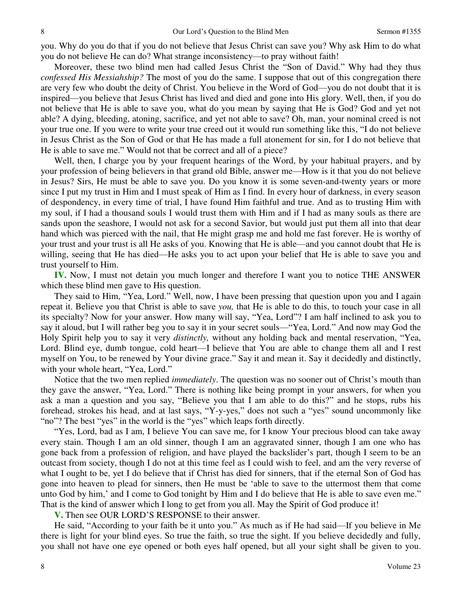you. Why do you do that if you do not believe that Jesus Christ can save you? Why ask Him to do what you do not believe He can do? What strange inconsistency—to pray without faith!

Moreover, these two blind men had called Jesus Christ the "Son of David." Why had they thus *confessed His Messiahship?* The most of you do the same. I suppose that out of this congregation there are very few who doubt the deity of Christ. You believe in the Word of God—you do not doubt that it is inspired—you believe that Jesus Christ has lived and died and gone into His glory. Well, then, if you do not believe that He is able to save you, what do you mean by saying that He is God? God and yet not able? A dying, bleeding, atoning, sacrifice, and yet not able to save? Oh, man, your nominal creed is not your true one. If you were to write your true creed out it would run something like this, "I do not believe in Jesus Christ as the Son of God or that He has made a full atonement for sin, for I do not believe that He is able to save me." Would not that be correct and all of a piece?

Well, then, I charge you by your frequent hearings of the Word, by your habitual prayers, and by your profession of being believers in that grand old Bible, answer me—How is it that you do not believe in Jesus? Sirs, He must be able to save you. Do you know it is some seven-and-twenty years or more since I put my trust in Him and I must speak of Him as I find. In every hour of darkness, in every season of despondency, in every time of trial, I have found Him faithful and true. And as to trusting Him with my soul, if I had a thousand souls I would trust them with Him and if I had as many souls as there are sands upon the seashore, I would not ask for a second Savior, but would just put them all into that dear hand which was pierced with the nail, that He might grasp me and hold me fast forever. He is worthy of your trust and your trust is all He asks of you. Knowing that He is able—and you cannot doubt that He is willing, seeing that He has died—He asks you to act upon your belief that He is able to save you and trust yourself to Him.

**IV.** Now, I must not detain you much longer and therefore I want you to notice THE ANSWER which these blind men gave to His question.

They said to Him, "Yea, Lord." Well, now, I have been pressing that question upon you and I again repeat it. Believe you that Christ is able to save *you,* that He is able to do this, to touch your case in all its specialty? Now for your answer. How many will say, "Yea, Lord"? I am half inclined to ask you to say it aloud, but I will rather beg you to say it in your secret souls—"Yea, Lord." And now may God the Holy Spirit help you to say it very *distinctly,* without any holding back and mental reservation, "Yea, Lord. Blind eye, dumb tongue, cold heart—I believe that You are able to change them all and I rest myself on You, to be renewed by Your divine grace." Say it and mean it. Say it decidedly and distinctly, with your whole heart, "Yea, Lord."

Notice that the two men replied *immediately*. The question was no sooner out of Christ's mouth than they gave the answer, "Yea, Lord." There is nothing like being prompt in your answers, for when you ask a man a question and you say, "Believe you that I am able to do this?" and he stops, rubs his forehead, strokes his head, and at last says, "Y-y-yes," does not such a "yes" sound uncommonly like "no"? The best "yes" in the world is the "yes" which leaps forth directly.

"Yes, Lord, bad as I am, I believe You can save me, for I know Your precious blood can take away every stain. Though I am an old sinner, though I am an aggravated sinner, though I am one who has gone back from a profession of religion, and have played the backslider's part, though I seem to be an outcast from society, though I do not at this time feel as I could wish to feel, and am the very reverse of what I ought to be, yet I do believe that if Christ has died for sinners, that if the eternal Son of God has gone into heaven to plead for sinners, then He must be 'able to save to the uttermost them that come unto God by him,' and I come to God tonight by Him and I do believe that He is able to save even me." That is the kind of answer which I long to get from you all. May the Spirit of God produce it!

**V.** Then see OUR LORD'S RESPONSE to their answer.

He said, "According to your faith be it unto you." As much as if He had said—If you believe in Me there is light for your blind eyes. So true the faith, so true the sight. If you believe decidedly and fully, you shall not have one eye opened or both eyes half opened, but all your sight shall be given to you.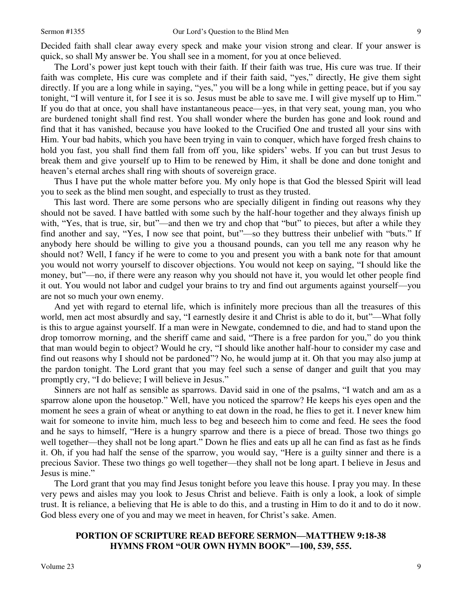Decided faith shall clear away every speck and make your vision strong and clear. If your answer is quick, so shall My answer be. You shall see in a moment, for you at once believed.

9 shruty, odhood dypyfeutedu syekduty aendosad eer. 9 9 shruty, odhood dypyfeutedu syekduty aendosad eer. 9 The Lord's power just kept touch with their faith. If their faith was true, His cure was true. If their faith was complete, His cure was complete and if their faith said, "yes," directly, He give them sight directly. If you are a long while in saying, "yes," you will be a long while in getting peace, but if you say tonight, "I will venture it, for I see it is so. Jesus must be able to save me. I will give myself up to Him." If you do that at once, you shall have instantaneous peace—yes, in that very seat, young man, you who are burdened tonight shall find rest. You shall wonder where the burden has gone and look round and find that it has vanished, because you have looked to the Crucified One and trusted all your sins with Him. Your bad habits, which you have been trying in vain to conquer, which have forged fresh chains to hold you fast, you shall find them fall from off you, like spiders' webs. If you can but trust Jesus to break them and give yourself up to Him to be renewed by Him, it shall be done and done tonight and heaven's eternal arches shall ring with shouts of sovereign grace.

Thus I have put the whole matter before you. My only hope is that God the blessed Spirit will lead you to seek as the blind men sought, and especially to trust as they trusted.

This last word. There are some persons who are specially diligent in finding out reasons why they should not be saved. I have battled with some such by the half-hour together and they always finish up with, "Yes, that is true, sir, but"—and then we try and chop that "but" to pieces, but after a while they find another and say, "Yes, I now see that point, but"—so they buttress their unbelief with "buts." If anybody here should be willing to give you a thousand pounds, can you tell me any reason why he should not? Well, I fancy if he were to come to you and present you with a bank note for that amount you would not worry yourself to discover objections. You would not keep on saying, "I should like the money, but"—no, if there were any reason why you should not have it, you would let other people find it out. You would not labor and cudgel your brains to try and find out arguments against yourself—you are not so much your own enemy.

And yet with regard to eternal life, which is infinitely more precious than all the treasures of this world, men act most absurdly and say, "I earnestly desire it and Christ is able to do it, but"—What folly is this to argue against yourself. If a man were in Newgate, condemned to die, and had to stand upon the drop tomorrow morning, and the sheriff came and said, "There is a free pardon for you," do you think that man would begin to object? Would he cry, "I should like another half-hour to consider my case and find out reasons why I should not be pardoned"? No, he would jump at it. Oh that you may also jump at the pardon tonight. The Lord grant that you may feel such a sense of danger and guilt that you may promptly cry, "I do believe; I will believe in Jesus."

Sinners are not half as sensible as sparrows. David said in one of the psalms, "I watch and am as a sparrow alone upon the housetop." Well, have you noticed the sparrow? He keeps his eyes open and the moment he sees a grain of wheat or anything to eat down in the road, he flies to get it. I never knew him wait for someone to invite him, much less to beg and beseech him to come and feed. He sees the food and he says to himself, "Here is a hungry sparrow and there is a piece of bread. Those two things go well together—they shall not be long apart." Down he flies and eats up all he can find as fast as he finds it. Oh, if you had half the sense of the sparrow, you would say, "Here is a guilty sinner and there is a precious Savior. These two things go well together—they shall not be long apart. I believe in Jesus and Jesus is mine."

The Lord grant that you may find Jesus tonight before you leave this house. I pray you may. In these very pews and aisles may you look to Jesus Christ and believe. Faith is only a look, a look of simple trust. It is reliance, a believing that He is able to do this, and a trusting in Him to do it and to do it now. God bless every one of you and may we meet in heaven, for Christ's sake. Amen.

## **PORTION OF SCRIPTURE READ BEFORE SERMON—MATTHEW 9:18-38 HYMNS FROM "OUR OWN HYMN BOOK"—100, 539, 555.**